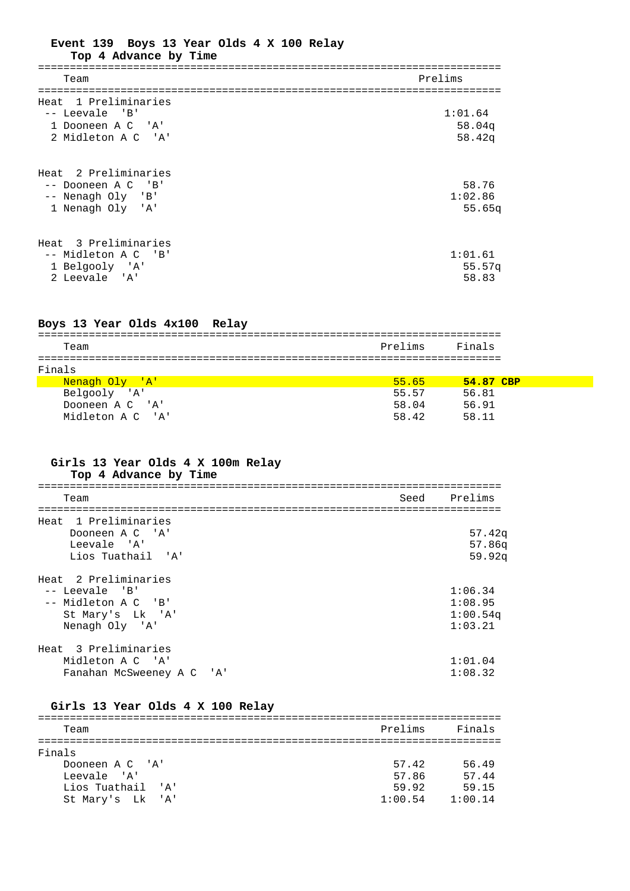| Event 139 Boys 13 Year Olds 4 X 100 Relay<br>Top 4 Advance by Time                  |                             |  |
|-------------------------------------------------------------------------------------|-----------------------------|--|
| Team                                                                                | Prelims                     |  |
|                                                                                     |                             |  |
| Heat 1 Preliminaries<br>-- Leevale 'B'<br>1 Dooneen A C 'A'<br>2 Midleton A C 'A'   | 1:01.64<br>58.04q<br>58.42q |  |
| Heat 2 Preliminaries<br>-- Dooneen A C 'B'<br>-- Nenagh Oly 'B'<br>1 Nenagh Oly 'A' | 58.76<br>1:02.86<br>55.65q  |  |
| Heat 3 Preliminaries<br>-- Midleton A C 'B'<br>1 Belgooly 'A'<br>2 Leevale 'A'      | 1:01.61<br>55.57q<br>58.83  |  |

#### **Boys 13 Year Olds 4x100 Relay**

| Team             | Prelims | Finals      |  |
|------------------|---------|-------------|--|
|                  |         |             |  |
| Finals           |         |             |  |
| Nenagh Oly 'A'   | 55.65   | $54.87$ CBP |  |
| Belgooly 'A'     | 55.57   | 56.81       |  |
| Dooneen A C 'A'  | 58.04   | 56.91       |  |
| Midleton A C 'A' | 58.42   | 58.11       |  |

## **Girls 13 Year Olds 4 X 100m Relay Top 4 Advance by Time**

| Team                      | Seed | Prelims  |
|---------------------------|------|----------|
|                           |      |          |
| Heat 1 Preliminaries      |      |          |
| Dooneen A C 'A'           |      | 57.42q   |
| Leevale 'A'               |      | 57.86q   |
| Lios Tuathail 'A'         |      | 59.92q   |
| Heat 2 Preliminaries      |      |          |
| $--$ Leevale 'B'          |      | 1:06.34  |
| -- Midleton A C 'B'       |      | 1:08.95  |
| St Mary's Lk 'A'          |      | 1:00.54q |
| Nenagh Oly 'A'            |      | 1:03.21  |
| Heat 3 Preliminaries      |      |          |
| Midleton A C 'A'          |      | 1:01.04  |
| Fanahan McSweeney A C 'A' |      | 1:08.32  |

## **Girls 13 Year Olds 4 X 100 Relay**

| Team              | Prelims | Finals  |
|-------------------|---------|---------|
|                   |         |         |
| Finals            |         |         |
| Dooneen A C 'A'   | 57.42   | 56.49   |
| Leevale 'A'       | 57.86   | 57.44   |
| Lios Tuathail 'A' | 59.92   | 59.15   |
| St Mary's Lk 'A'  | 1:00.54 | 1:00.14 |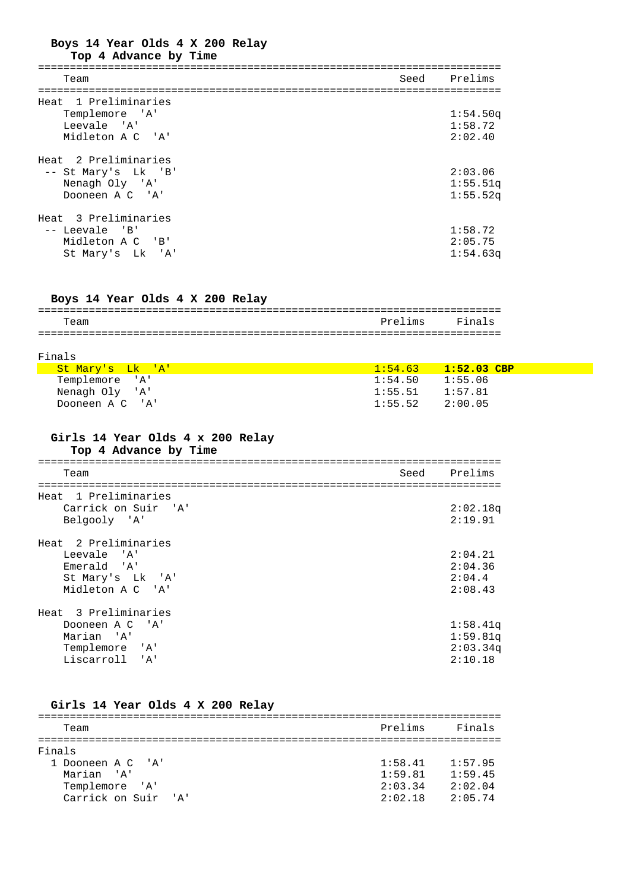# **Boys 14 Year Olds 4 X 200 Relay**

### **Top 4 Advance by Time**

| Team                 | Seed Prelims |
|----------------------|--------------|
|                      |              |
| Heat 1 Preliminaries |              |
| Templemore 'A'       | 1:54.50q     |
| Leevale 'A'          | 1:58.72      |
| Midleton A C 'A'     | 2:02.40      |
| Heat 2 Preliminaries |              |
| -- St Mary's Lk 'B'  | 2:03.06      |
| Nenagh Oly 'A'       | 1:55.51q     |
| Dooneen A C 'A'      | 1:55.52q     |
| Heat 3 Preliminaries |              |
| $--$ Leevale 'B'     | 1:58.72      |
| Midleton A C 'B'     | 2:05.75      |
| St Mary's Lk 'A'     | 1:54.63q     |

## **Boys 14 Year Olds 4 X 200 Relay**

|               |                                 | _ _ _<br>---              |
|---------------|---------------------------------|---------------------------|
| .'⊖ar         |                                 | $\overline{ }$<br>_______ |
| _____________ | ------------------------------- | . _ _ _ _<br>- - -        |

#### Finals

| <mark>St Mary's Lk 'A'</mark> | $1:54.63$ $1:52.03$ CBP |
|-------------------------------|-------------------------|
| Templemore 'A'                | $1:54.50$ $1:55.06$     |
| Nenagh Oly 'A'                | $1:55.51$ $1:57.81$     |
| Dooneen A C 'A'               | $1:55.52$ $2:00.05$     |

## **Girls 14 Year Olds 4 x 200 Relay**

**Top 4 Advance by Time**

| Team                 | Seed | Prelims  |
|----------------------|------|----------|
|                      |      |          |
| Heat 1 Preliminaries |      |          |
| Carrick on Suir 'A'  |      | 2:02.18q |
| Belgooly 'A'         |      | 2:19.91  |
| Heat 2 Preliminaries |      |          |
|                      |      |          |
| Leevale 'A'          |      | 2:04.21  |
| Emerald 'A'          |      | 2:04.36  |
| St Mary's Lk 'A'     |      | 2:04.4   |
| Midleton A C 'A'     |      | 2:08.43  |
| Heat 3 Preliminaries |      |          |
|                      |      |          |
| Dooneen A C 'A'      |      | 1:58.41q |
| Marian 'A'           |      | 1:59.81q |
| Templemore 'A'       |      | 2:03.34q |
| Liscarroll 'A'       |      | 2:10.18  |

## **Girls 14 Year Olds 4 X 200 Relay**

| Prelims | Finals  |
|---------|---------|
|         |         |
|         |         |
| 1:58.41 | 1:57.95 |
| 1:59.81 | 1:59.45 |
| 2:03.34 | 2:02.04 |
| 2:02.18 | 2:05.74 |
|         |         |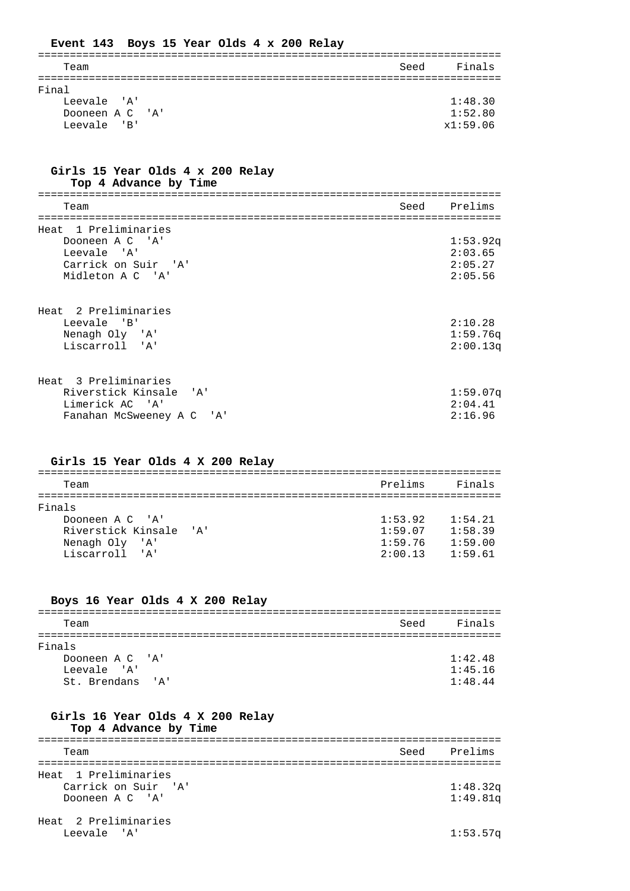| Event 143 Boys 15 Year Olds 4 x 200 Relay |                |
|-------------------------------------------|----------------|
| Team                                      | Finals<br>Seed |
| Final                                     |                |
| Leevale 'A'                               | 1:48.30        |
| Dooneen A C 'A'                           | 1:52.80        |
| Leevale 'B'                               | x1:59.06       |

## **Girls 15 Year Olds 4 x 200 Relay Top 4 Advance by Time**

| Team                 | Seed | Prelims  |
|----------------------|------|----------|
|                      |      |          |
| Heat 1 Preliminaries |      |          |
| Dooneen A C 'A'      |      | 1:53.92q |
| Leevale 'A'          |      | 2:03.65  |
| Carrick on Suir 'A'  |      | 2:05.27  |
| Midleton A C 'A'     |      | 2:05.56  |
|                      |      |          |
|                      |      |          |
| Heat 2 Preliminaries |      |          |

| Leevale 'B'    | 2:10.28  |
|----------------|----------|
| Nenagh Oly 'A' | 1:59.76q |
| Liscarroll 'A' | 2:00.13q |
|                |          |

| Heat 3 Preliminaries      |             |
|---------------------------|-------------|
| Riverstick Kinsale 'A'    | $1:59.07$ a |
| Limerick AC 'A'           | 2:04.41     |
| Fanahan McSweeney A C 'A' | 2:16.96     |

## **Girls 15 Year Olds 4 X 200 Relay**

| Prelims | Finals  |  |  |  |
|---------|---------|--|--|--|
|         |         |  |  |  |
|         |         |  |  |  |
| 1:53.92 | 1:54.21 |  |  |  |
| 1:59.07 | 1:58.39 |  |  |  |
| 1:59.76 | 1:59.00 |  |  |  |
| 2:00.13 | 1:59.61 |  |  |  |
|         |         |  |  |  |

## **Boys 16 Year Olds 4 X 200 Relay**

| Team             | Seed | Finals  |
|------------------|------|---------|
|                  |      |         |
| Finals           |      |         |
| Dooneen A C 'A'  |      | 1:42.48 |
| Leevale 'A'      |      | 1:45.16 |
| St. Brendans 'A' |      | 1:48.44 |

## **Girls 16 Year Olds 4 X 200 Relay**

## **Top 4 Advance by Time**

| Team                 |  | Seed Prelims |  |  |
|----------------------|--|--------------|--|--|
|                      |  |              |  |  |
| Heat 1 Preliminaries |  |              |  |  |
| Carrick on Suir 'A'  |  | 1:48.32q     |  |  |
| Dooneen A C 'A'      |  | 1:49.81q     |  |  |
|                      |  |              |  |  |

## Heat 2 Preliminaries Leevale 'A' 1:53.57q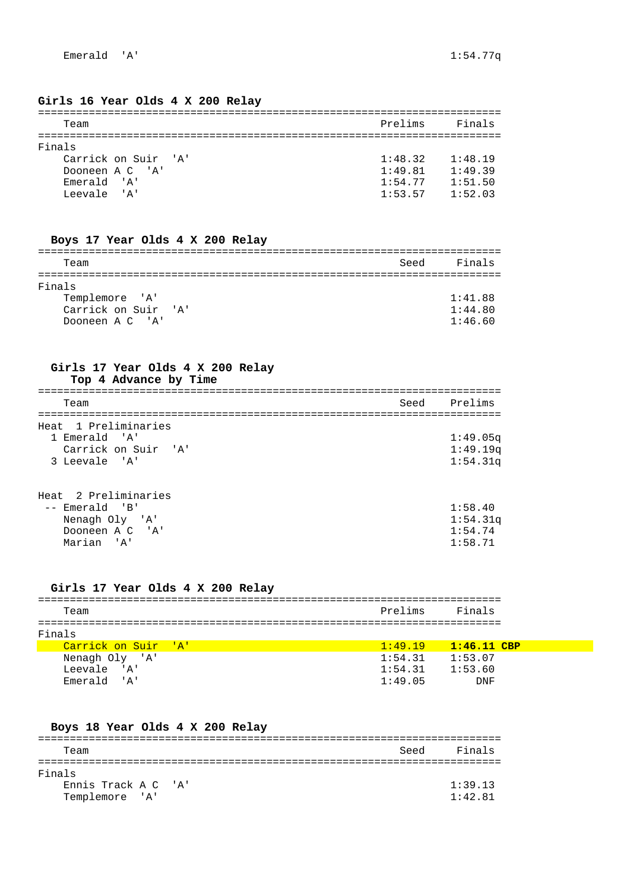#### **Girls 16 Year Olds 4 X 200 Relay**

| Team                | Prelims | Finals  |
|---------------------|---------|---------|
| Finals              |         |         |
|                     |         |         |
| Carrick on Suir 'A' | 1:48.32 | 1:48.19 |
| Dooneen A C 'A'     | 1:49.81 | 1:49.39 |
| Emerald 'A'         | 1:54.77 | 1:51.50 |
| Leevale 'A'         | 1:53.57 | 1:52.03 |

#### **Boys 17 Year Olds 4 X 200 Relay**

| Team                | Seed | Finals  |  |
|---------------------|------|---------|--|
|                     |      |         |  |
| Finals              |      |         |  |
| Templemore 'A'      |      | 1:41.88 |  |
| Carrick on Suir 'A' |      | 1:44.80 |  |
| Dooneen A C 'A'     |      | 1:46.60 |  |

### **Girls 17 Year Olds 4 X 200 Relay Top 4 Advance by Time**

| Team                 | Seed Prelims |
|----------------------|--------------|
|                      |              |
| Heat 1 Preliminaries |              |
| 1 Emerald 'A'        | 1:49.05q     |
| Carrick on Suir 'A'  | 1:49.19q     |
| 3 Leevale 'A'        | 1:54.31q     |
|                      |              |

# Heat 2 Preliminaries -- Emerald 'B' 1:58.40

| Nenagh Oly 'A'  | 1:54.31q |
|-----------------|----------|
| Dooneen A C 'A' | 1:54.74  |
| Marian 'A'      | 1:58.71  |

## **Girls 17 Year Olds 4 X 200 Relay**

| Team                | Prelims | Finals        |  |  |  |
|---------------------|---------|---------------|--|--|--|
|                     |         |               |  |  |  |
| Finals              |         |               |  |  |  |
| Carrick on Suir 'A' | 1:49.19 | $1:46.11$ CBP |  |  |  |
| Nenagh Oly 'A'      | 1:54.31 | 1:53.07       |  |  |  |
| Leevale 'A'         | 1:54.31 | 1:53.60       |  |  |  |
| Emerald 'A'         | 1:49.05 | DNF           |  |  |  |
|                     |         |               |  |  |  |

## **Boys 18 Year Olds 4 X 200 Relay**

| Team                | Seed | Finals  |
|---------------------|------|---------|
|                     |      |         |
| Finals              |      |         |
| Ennis Track A C 'A' |      | 1:39.13 |
| Templemore 'A'      |      | 1:42.81 |